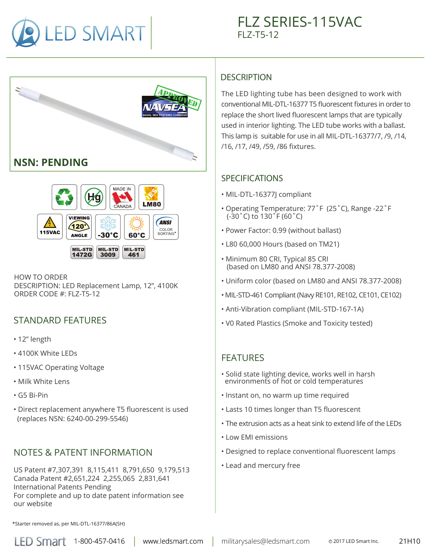





HOW TO ORDER DESCRIPTION: LED Replacement Lamp, 12", 4100K ORDER CODE  $#$ : FLZ-T5-12

# STANDARD FEATURES

- 12" length
- 4100K White LEDs
- 115VAC Operating Voltage
- Milk White Lens
- G5 Bi-Pin
- Direct replacement anywhere T5 fluorescent is used (replaces NSN: 6240-00-299-5546)

### NOTES & PATENT INFORMATION

US Patent #7,307,391 8,115,411 8,791,650 9,179,513 Canada Patent #2,651,224 2,255,065 2,831,641 International Patents Pending For complete and up to date patent information see our website

#### **DESCRIPTION**

The LED lighting tube has been designed to work with conventional MIL-DTL-16377 T5 fluorescent fixtures in order to replace the short lived fluorescent lamps that are typically used in interior lighting. The LED tube works with a ballast. This lamp is suitable for use in all MIL-DTL-16377/7, /9, /14, /16, /17, /49, /59, /86 fixtures.

#### SPECIFICATIONS

- MIL-DTL-16377J compliant
- Operating Temperature: 77˚F (25˚C), Range -22˚F (-30˚C) to 130˚F (60˚C)
- Power Factor: 0.99 (without ballast)
- L80 60,000 Hours (based on TM21)
- Minimum 80 CRI, Typical 85 CRI (based on LM80 and ANSI 78.377-2008)
- Uniform color (based on LM80 and ANSI 78.377-2008)
- MIL-STD-461 Compliant (Navy RE101, RE102, CE101, CE102)
- Anti-Vibration compliant (MIL-STD-167-1A)
- V0 Rated Plastics (Smoke and Toxicity tested)

### FEATURES

- Solid state lighting device, works well in harsh environments of hot or cold temperatures
- Instant on, no warm up time required
- Lasts 10 times longer than T5 fluorescent
- The extrusion acts as a heat sink to extend life of the LEDs
- Low EMI emissions
- Designed to replace conventional fluorescent lamps
- Lead and mercury free

\*Starter removed as, per MIL-DTL-16377/86A(SH)

www.ledsmart.com

LED Smart 1-800-457-0416 | www.ledsmart.com | militarysales@ledsmart.com © 2017 LED Smart Inc.